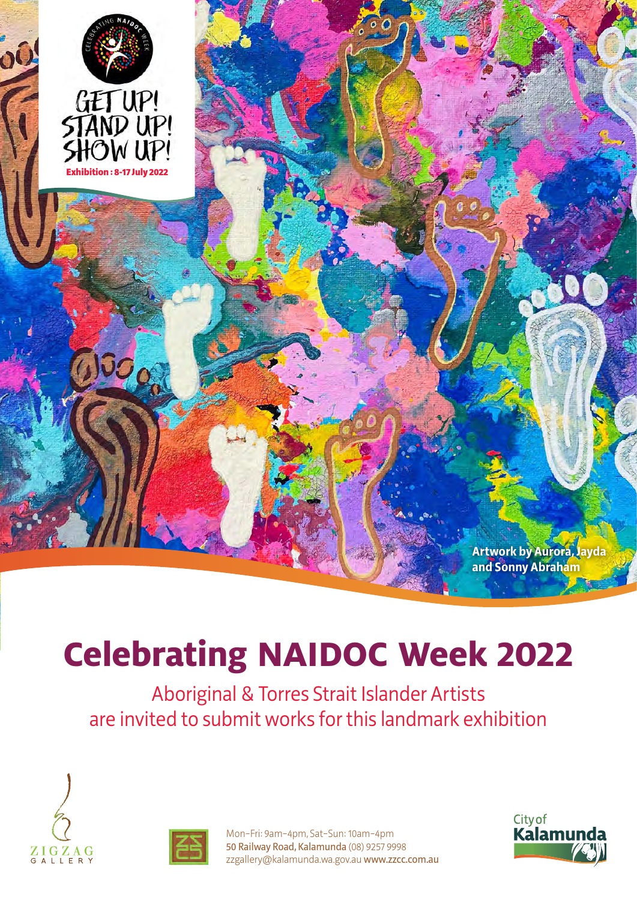

# **Celebrating NAIDOC Week 2022**

Aboriginal & Torres Strait Islander Artists are invited to submit works for this landmark exhibition





Mon−Fri: 9am−4pm, Sat−Sun: 10am−4pm 50 Railway Road, Kalamunda (08) 9257 9998 zzgallery@kalamunda.wa.gov.au www.zzcc.com.au

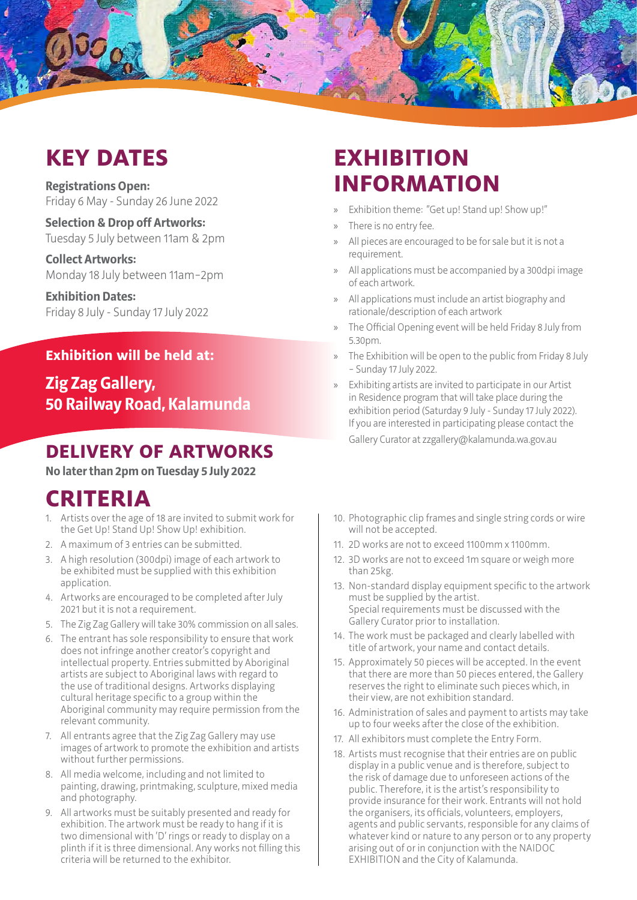# **KEY DATES**

**Registrations Open:**  Friday 6 May - Sunday 26 June 2022

**Selection & Drop off Artworks:** Tuesday 5 July between 11am & 2pm

**Collect Artworks:** Monday 18 July between 11am–2pm

**Exhibition Dates:** Friday 8 July - Sunday 17 July 2022

#### **Exhibition will be held at:**

**Zig Zag Gallery, 50 Railway Road, Kalamunda**

#### **DELIVERY OF ARTWORKS**

**No later than 2pm on Tuesday 5 July 2022**

#### **CRITERIA**

- 1. Artists over the age of 18 are invited to submit work for the Get Up! Stand Up! Show Up! exhibition.
- 2. A maximum of 3 entries can be submitted.
- 3. A high resolution (300dpi) image of each artwork to be exhibited must be supplied with this exhibition application.
- 4. Artworks are encouraged to be completed after July 2021 but it is not a requirement.
- 5. The Zig Zag Gallery will take 30% commission on all sales.
- 6. The entrant has sole responsibility to ensure that work does not infringe another creator's copyright and intellectual property. Entries submitted by Aboriginal artists are subject to Aboriginal laws with regard to the use of traditional designs. Artworks displaying cultural heritage specific to a group within the Aboriginal community may require permission from the relevant community.
- 7. All entrants agree that the Zig Zag Gallery may use images of artwork to promote the exhibition and artists without further permissions.
- 8. All media welcome, including and not limited to painting, drawing, printmaking, sculpture, mixed media and photography.
- 9. All artworks must be suitably presented and ready for exhibition. The artwork must be ready to hang if it is two dimensional with 'D' rings or ready to display on a plinth if it is three dimensional. Any works not filling this criteria will be returned to the exhibitor.

#### **EXHIBITION INFORMATION**

- » Exhibition theme: "Get up! Stand up! Show up!"
- » There is no entry fee.
- » All pieces are encouraged to be for sale but it is not a requirement.
- » All applications must be accompanied by a 300dpi image of each artwork.
- » All applications must include an artist biography and rationale/description of each artwork
- » The Official Opening event will be held Friday 8 July from 5.30pm.
- » The Exhibition will be open to the public from Friday 8 July – Sunday 17 July 2022.
- » Exhibiting artists are invited to participate in our Artist in Residence program that will take place during the exhibition period (Saturday 9 July - Sunday 17 July 2022). If you are interested in participating please contact the Gallery Curator at zzgallery@kalamunda.wa.gov.au
- 10. Photographic clip frames and single string cords or wire will not be accepted.
- 11. 2D works are not to exceed 1100mm x 1100mm.
- 12. 3D works are not to exceed 1m square or weigh more than 25kg.
- 13. Non-standard display equipment specific to the artwork must be supplied by the artist. Special requirements must be discussed with the Gallery Curator prior to installation.
- 14. The work must be packaged and clearly labelled with title of artwork, your name and contact details.
- 15. Approximately 50 pieces will be accepted. In the event that there are more than 50 pieces entered, the Gallery reserves the right to eliminate such pieces which, in their view, are not exhibition standard.
- 16. Administration of sales and payment to artists may take up to four weeks after the close of the exhibition.
- 17. All exhibitors must complete the Entry Form.
- 18. Artists must recognise that their entries are on public display in a public venue and is therefore, subject to the risk of damage due to unforeseen actions of the public. Therefore, it is the artist's responsibility to provide insurance for their work. Entrants will not hold the organisers, its officials, volunteers, employers, agents and public servants, responsible for any claims of whatever kind or nature to any person or to any property arising out of or in conjunction with the NAIDOC EXHIBITION and the City of Kalamunda.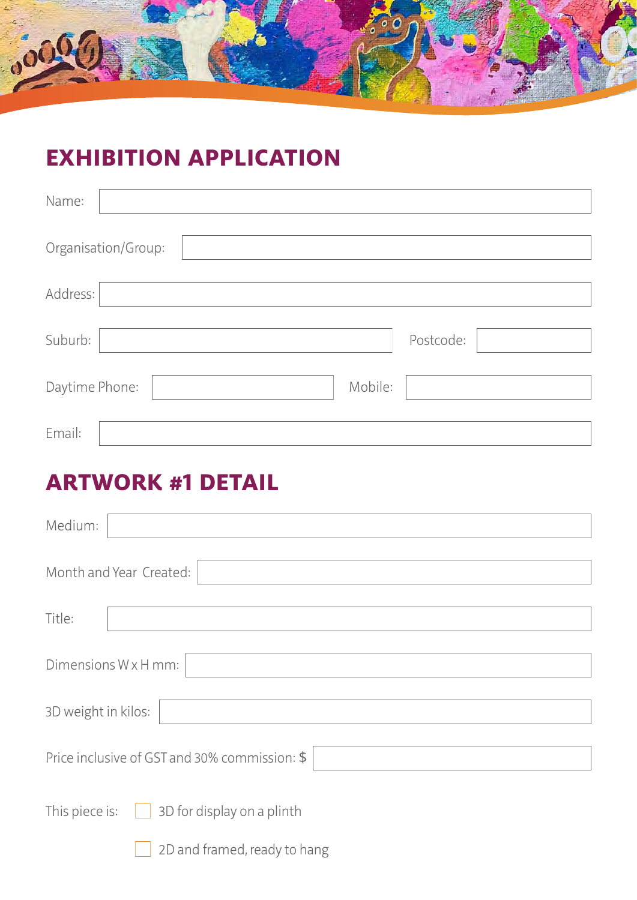

# **EXHIBITION APPLICATION**

| Name:               |  |           |  |  |
|---------------------|--|-----------|--|--|
| Organisation/Group: |  |           |  |  |
| Address:            |  |           |  |  |
| Suburb:             |  | Postcode: |  |  |
| Daytime Phone:      |  | Mobile:   |  |  |
| Email:              |  |           |  |  |

### **ARTWORK #1 DETAIL**

| Medium:                                          |  |  |  |
|--------------------------------------------------|--|--|--|
| Month and Year Created:                          |  |  |  |
| Title:                                           |  |  |  |
| Dimensions W x H mm:                             |  |  |  |
| 3D weight in kilos:                              |  |  |  |
| Price inclusive of GST and 30% commission: \$    |  |  |  |
| This piece is: $\Box$ 3D for display on a plinth |  |  |  |
| 2D and framed, ready to hang                     |  |  |  |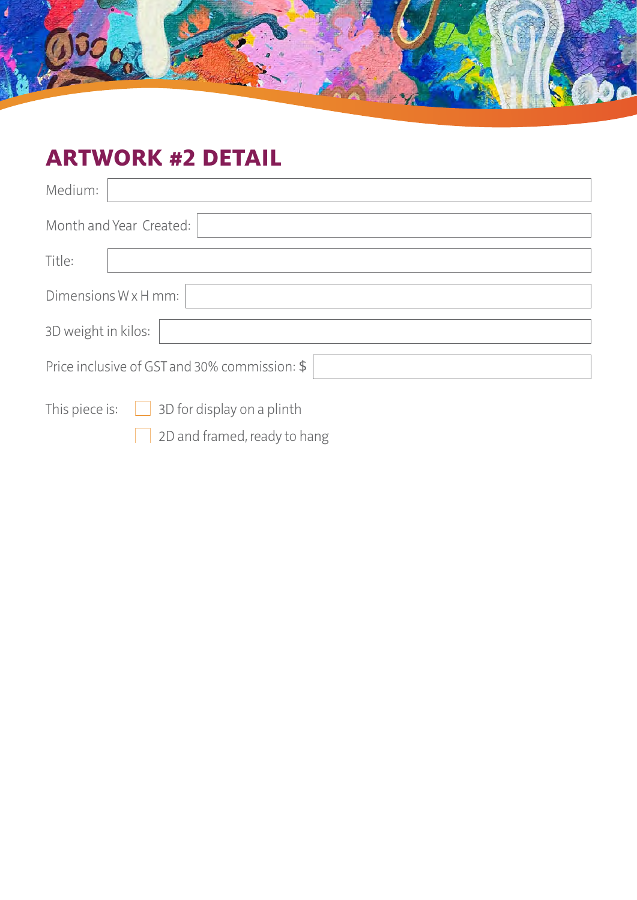

### **ARTWORK #2 DETAIL**

| Medium:                                             |  |  |  |  |
|-----------------------------------------------------|--|--|--|--|
| Month and Year Created:                             |  |  |  |  |
| Title:                                              |  |  |  |  |
| Dimensions W x H mm:                                |  |  |  |  |
| 3D weight in kilos:                                 |  |  |  |  |
| Price inclusive of GST and 30% commission: \$       |  |  |  |  |
| This piece is:<br>$\Box$ 3D for display on a plinth |  |  |  |  |
| 2D and framed, ready to hang                        |  |  |  |  |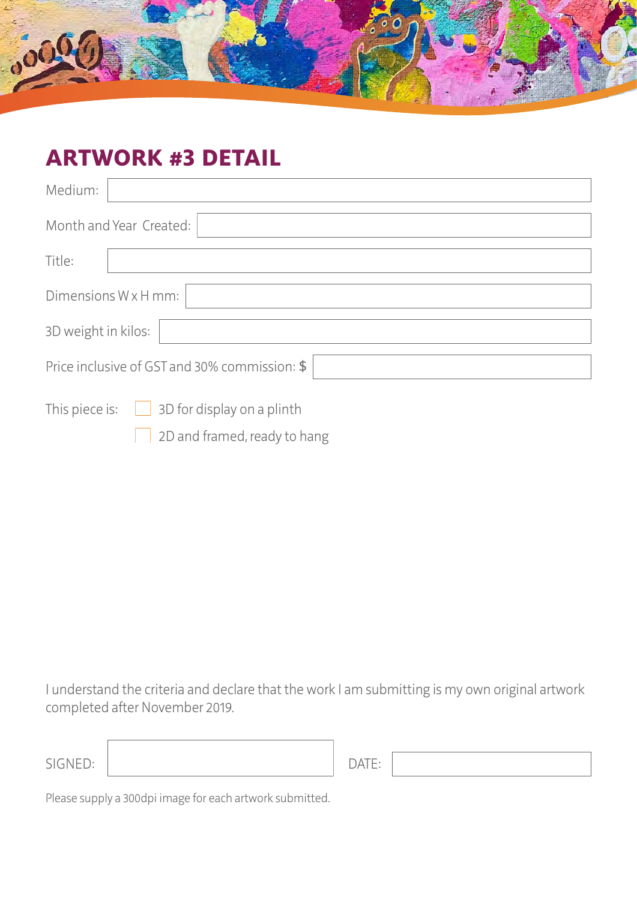

#### **ARTWORK #3 DETAIL**

| Medium:                                              |  |  |  |
|------------------------------------------------------|--|--|--|
| Month and Year Created:                              |  |  |  |
| Title:                                               |  |  |  |
| Dimensions W x H mm:                                 |  |  |  |
| 3D weight in kilos:                                  |  |  |  |
| Price inclusive of GST and 30% commission: \$        |  |  |  |
| This piece is:<br>3D for display on a plinth<br>a di |  |  |  |
| 2D and framed, ready to hang                         |  |  |  |

I understand the criteria and declare that the work I am submitting is my own original artwork completed after November 2019.

| SIGNED: |  |
|---------|--|
|         |  |

Please supply a 300dpi image for each artwork submitted.